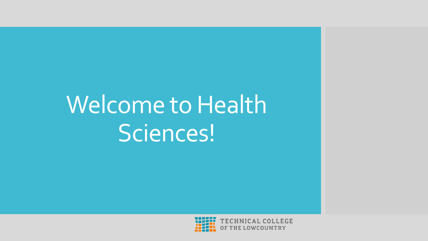### Welcome to Health Sciences!



*FECHNICAL COLLEGE* OF THE LOWCOUNTRY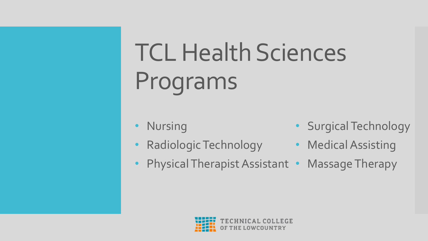## TCL Health Sciences Programs

- **Nursing**
- Radiologic Technology Medical Assisting
- Surgical Technology
- 
- Physical Therapist Assistant Massage Therapy

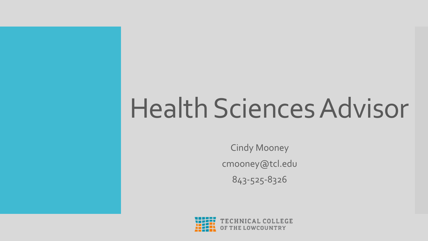## Health Sciences Advisor

Cindy Mooney cmooney@tcl.edu 843-525-8326

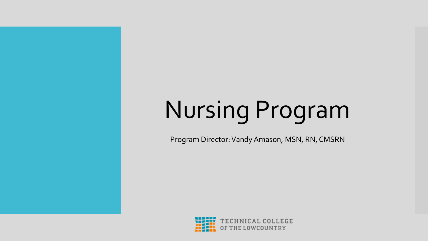# Nursing Program

Program Director: Vandy Amason, MSN, RN, CMSRN

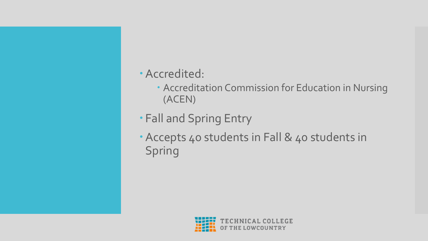#### Accredited:

- Accreditation Commission for Education in Nursing (ACEN)
- Fall and Spring Entry
- Accepts 40 students in Fall & 40 students in Spring

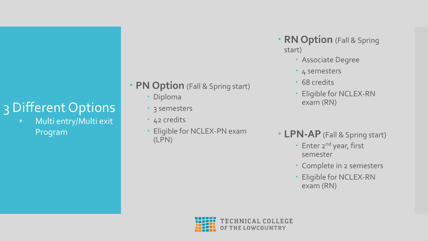#### 3 Different Options

• Multi entry/Multi exit Program

- **PN Option** (Fall & Spring start)
	- Diploma
	- 3 semesters
	- 42 credits
	- Eligible for NCLEX-PN exam (LPN)
- **RN Option** (Fall & Spring start)
	- Associate Degree
	- 4 semesters
	- 68 credits
	- Eligible for NCLEX-RN exam (RN)
- **LPN-AP** (Fall & Spring start)
	- Enter 2<sup>nd</sup> year, first semester
	- Complete in 2 semesters
	- Eligible for NCLEX-RN exam (RN)

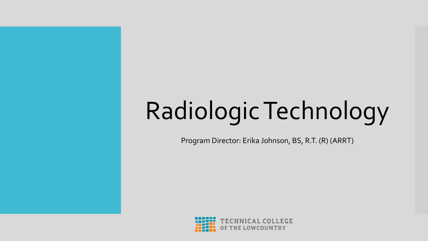# Radiologic Technology

Program Director: Erika Johnson, BS, R.T. (R) (ARRT)

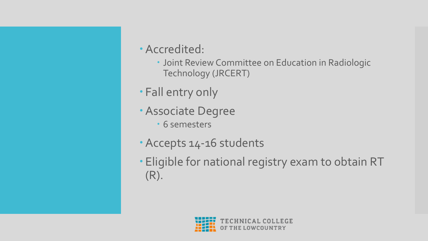- Accredited:
	- Joint Review Committee on Education in Radiologic Technology (JRCERT)
- Fall entry only
- Associate Degree
	- 6 semesters
- Accepts 14-16 students
- Eligible for national registry exam to obtain RT (R).

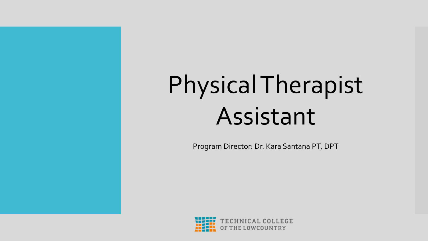## Physical Therapist Assistant

Program Director: Dr. Kara Santana PT, DPT

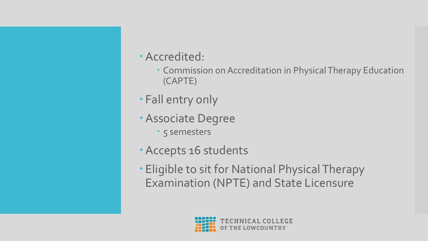

- Commission on Accreditation in Physical Therapy Education (CAPTE)
- Fall entry only
- Associate Degree
	- 5 semesters
- Accepts 16 students
- Eligible to sit for National Physical Therapy Examination (NPTE) and State Licensure

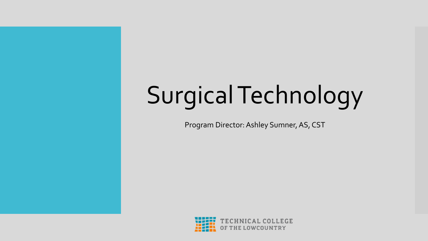# Surgical Technology

Program Director: Ashley Sumner, AS, CST

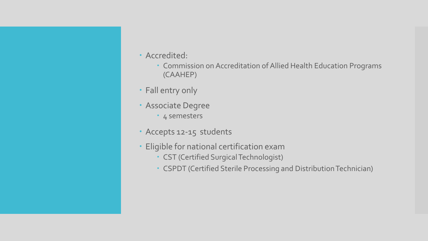- Accredited:
	- Commission on Accreditation of Allied Health Education Programs (CAAHEP)
- Fall entry only
- Associate Degree
	- 4 semesters
- Accepts 12-15 students
- Eligible for national certification exam
	- CST (Certified Surgical Technologist)
	- CSPDT (Certified Sterile Processing and Distribution Technician)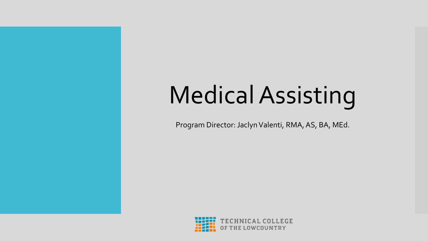# Medical Assisting

Program Director: Jaclyn Valenti, RMA, AS, BA, MEd.

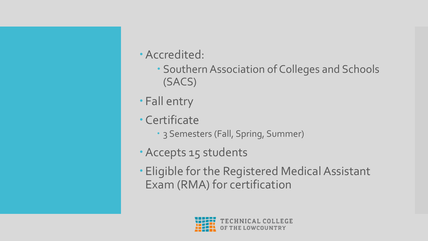- Accredited:
	- Southern Association of Colleges and Schools (SACS)
- Fall entry
- Certificate
	- 3 Semesters (Fall, Spring, Summer)
- Accepts 15 students
- Eligible for the Registered Medical Assistant Exam (RMA) for certification

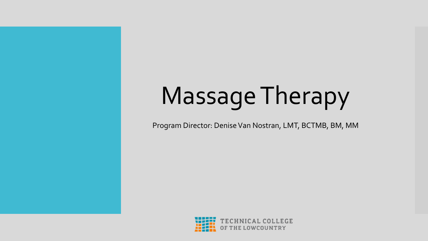## Massage Therapy

Program Director: Denise Van Nostran, LMT, BCTMB, BM, MM

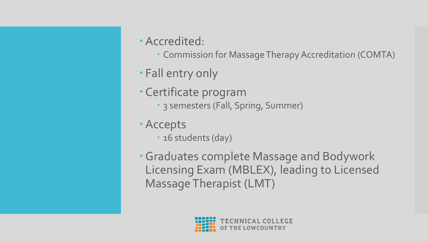- Accredited:
	- Commission for Massage Therapy Accreditation (COMTA)
- Fall entry only
- Certificate program
	- 3 semesters (Fall, Spring, Summer)
- Accepts
	- · 16 students (day)
- Graduates complete Massage and Bodywork Licensing Exam (MBLEX), leading to Licensed Massage Therapist (LMT)

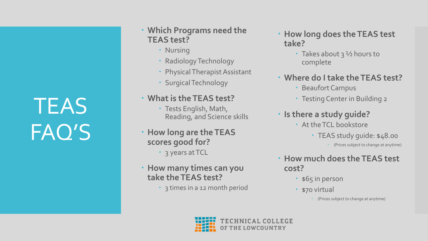#### **TEAS** FAQ'S

- **Which Programs need the TEAS test?** 
	- Nursing
	- Radiology Technology
	- Physical Therapist Assistant
	- Surgical Technology

#### **What is the TEAS test?**

- Tests English, Math, Reading, and Science skills
- **How long are the TEAS scores good for?**
	- 3 years at TCL
- **How many times can you take the TEAS test?**
	- 3 times in a 12 month period
- **How long does the TEAS test take?**
	- Takes about  $3\frac{1}{2}$  hours to complete
- **Where do I take the TEAS test?**
	- Beaufort Campus
	- Testing Center in Building 2
- **Is there a study guide?**
	- At the TCL bookstore
		- TEAS study guide: \$48.00
			- (Prices subject to change at anytime)
- **How much does the TEAS test cost?**
	- \$65 in person
	- \$70 virtual
		- (Prices subject to change at anytime)

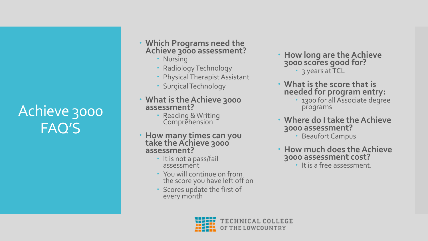#### Achieve 3000 FAQ'S

- **Which Programs need the Achieve 3000 assessment?** 
	- Nursing
	- Radiology Technology
	- Physical Therapist Assistant
	- Surgical Technology

#### **What is the Achieve 3000 assessment?**

- Reading & Writing **Comprehension**
- **How many times can you take the Achieve 3000 assessment?**
	- It is not a pass/fail assessment
	- You will continue on from the score you have left off on
	- Scores update the first of every month
- **How long are the Achieve 3000 scores good for?** • 3 years at TCL
- **What is the score that is needed for program entry:**
	- 1300 for all Associate degree programs
- **Where do I take the Achieve 3000 assessment?** 
	- Beaufort Campus
- **How much does the Achieve 3000 assessment cost?**
	- It is a free assessment.

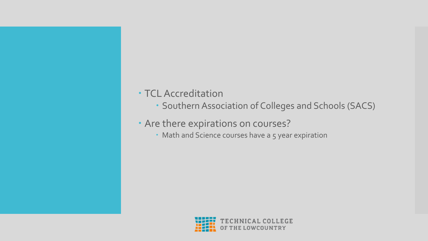#### TCL Accreditation

- Southern Association of Colleges and Schools (SACS)
- Are there expirations on courses?
	- Math and Science courses have a 5 year expiration